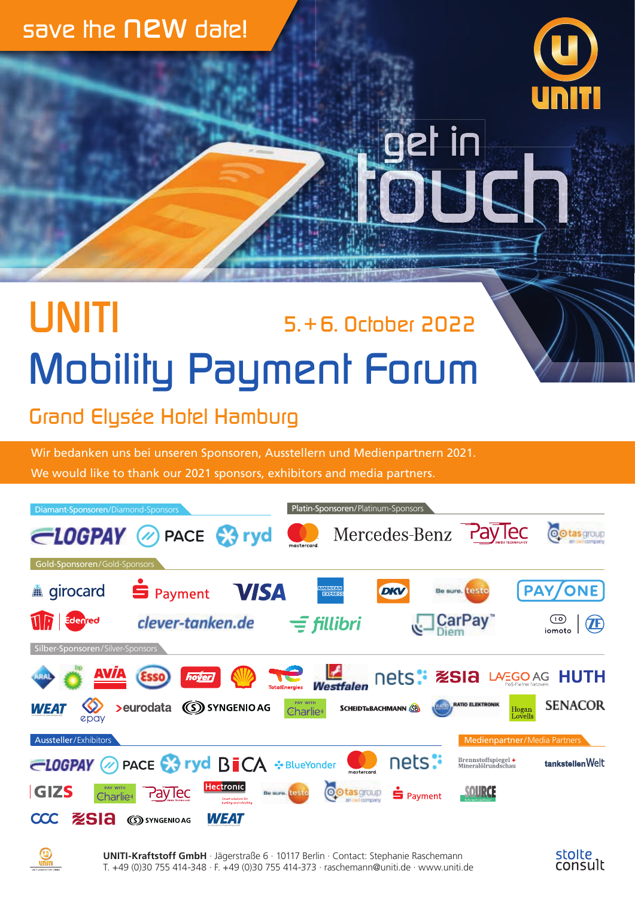### *save the new date!*



et in

## *UNITI Mobility Payment Forum 5. + 6. October 2022*

*Grand Elysée Hotel Hamburg*

Wir bedanken uns bei unseren Sponsoren, Ausstellern und Medienpartnern 2021. We would like to thank our 2021 sponsors, exhibitors and media partners.



**UNITI-Kraftstoff GmbH** · Jägerstraße 6 · 10117 Berlin · Contact: Stephanie Raschemann T. +49 (0)30 755 414-348 · F. +49 (0)30 755 414-373 · raschemann@uniti.de · www.uniti.de

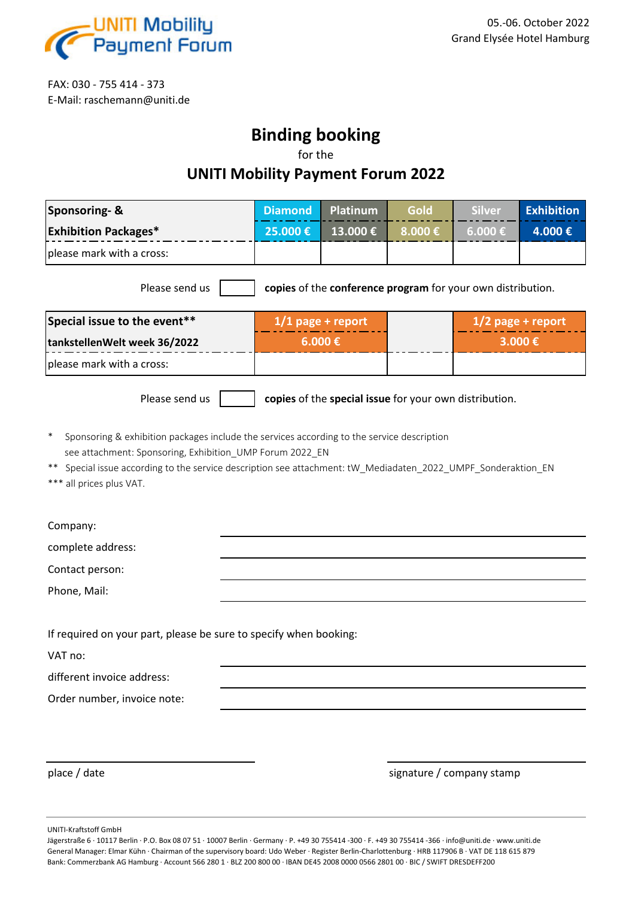

FAX: 030 - 755 414 - 373 E-Mail: raschemann@uniti.de

### **Binding booking**

for the

#### **UNITI Mobility Payment Forum 2022**

| <b>Sponsoring- &amp;</b>                                                                                                                                                                                                                                                                                         | <b>Diamond</b>      | Platinum | Gold   | <b>Silver</b>        | <b>Exhibition</b> |  |  |  |
|------------------------------------------------------------------------------------------------------------------------------------------------------------------------------------------------------------------------------------------------------------------------------------------------------------------|---------------------|----------|--------|----------------------|-------------------|--|--|--|
| <b>Exhibition Packages*</b>                                                                                                                                                                                                                                                                                      | 25.000€             | 13.000€  | 8.000€ | $6.000 \text{ } \in$ | 4.000€            |  |  |  |
| please mark with a cross:                                                                                                                                                                                                                                                                                        |                     |          |        |                      |                   |  |  |  |
| copies of the conference program for your own distribution.<br>Please send us                                                                                                                                                                                                                                    |                     |          |        |                      |                   |  |  |  |
| Special issue to the event**                                                                                                                                                                                                                                                                                     | $1/1$ page + report |          |        | $1/2$ page + report  |                   |  |  |  |
| tankstellenWelt week 36/2022                                                                                                                                                                                                                                                                                     | $6.000 \text{ E}$   |          |        | 3.000€               |                   |  |  |  |
| please mark with a cross:                                                                                                                                                                                                                                                                                        |                     |          |        |                      |                   |  |  |  |
| Please send us<br>copies of the special issue for your own distribution.                                                                                                                                                                                                                                         |                     |          |        |                      |                   |  |  |  |
| $\ast$<br>Sponsoring & exhibition packages include the services according to the service description<br>see attachment: Sponsoring, Exhibition_UMP Forum 2022_EN<br>Special issue according to the service description see attachment: tW_Mediadaten_2022_UMPF_Sonderaktion_EN<br>**<br>*** all prices plus VAT. |                     |          |        |                      |                   |  |  |  |
| Company:                                                                                                                                                                                                                                                                                                         |                     |          |        |                      |                   |  |  |  |
| complete address:                                                                                                                                                                                                                                                                                                |                     |          |        |                      |                   |  |  |  |
| Contact person:                                                                                                                                                                                                                                                                                                  |                     |          |        |                      |                   |  |  |  |
| Phone, Mail:                                                                                                                                                                                                                                                                                                     |                     |          |        |                      |                   |  |  |  |
|                                                                                                                                                                                                                                                                                                                  |                     |          |        |                      |                   |  |  |  |
| If required on your part, please be sure to specify when booking:                                                                                                                                                                                                                                                |                     |          |        |                      |                   |  |  |  |
| VAT no:                                                                                                                                                                                                                                                                                                          |                     |          |        |                      |                   |  |  |  |
| different invoice address:                                                                                                                                                                                                                                                                                       |                     |          |        |                      |                   |  |  |  |
| Order number, invoice note:                                                                                                                                                                                                                                                                                      |                     |          |        |                      |                   |  |  |  |
|                                                                                                                                                                                                                                                                                                                  |                     |          |        |                      |                   |  |  |  |

place / date signature / company stamp

UNITI-Kraftstoff GmbH

Jägerstraße 6 · 10117 Berlin · P.O. Box 08 07 51 · 10007 Berlin · Germany · P. +49 30 755414 -300 · F. +49 30 755414 -366 · info@uniti.de · www.uniti.de General Manager: Elmar Kühn · Chairman of the supervisory board: Udo Weber · Register Berlin-Charlottenburg · HRB 117906 B · VAT DE 118 615 879 Bank: Commerzbank AG Hamburg · Account 566 280 1 · BLZ 200 800 00 · IBAN DE45 2008 0000 0566 2801 00 · BIC / SWIFT DRESDEFF200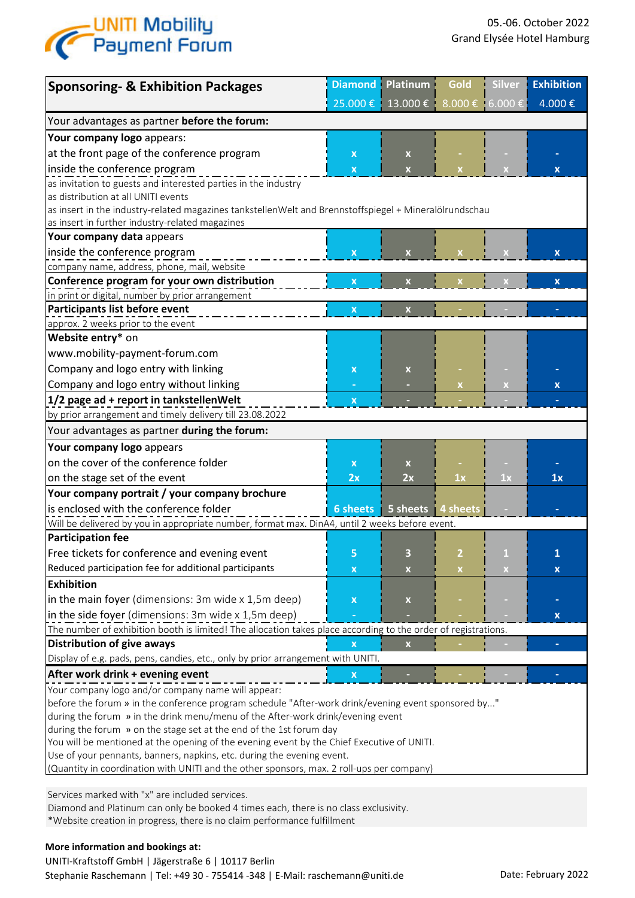

| <b>Sponsoring- &amp; Exhibition Packages</b>                                                                   | <b>Diamond</b>            | <b>Platinum</b>                   | Gold | <b>Silver</b> | <b>Exhibition</b>         |  |  |  |  |
|----------------------------------------------------------------------------------------------------------------|---------------------------|-----------------------------------|------|---------------|---------------------------|--|--|--|--|
|                                                                                                                |                           | 25.000 € 13.000 € 8.000 € 6.000 € |      |               | 4.000€                    |  |  |  |  |
| Your advantages as partner before the forum:                                                                   |                           |                                   |      |               |                           |  |  |  |  |
| Your company logo appears:                                                                                     |                           |                                   |      |               |                           |  |  |  |  |
| at the front page of the conference program                                                                    | $\pmb{\times}$            | X                                 |      |               |                           |  |  |  |  |
| inside the conference program                                                                                  | $\overline{\mathbf{x}}$   | $\overline{\mathbf{x}}$           |      |               | $\mathbf x$               |  |  |  |  |
| as invitation to guests and interested parties in the industry                                                 |                           |                                   |      |               |                           |  |  |  |  |
| as distribution at all UNITI events                                                                            |                           |                                   |      |               |                           |  |  |  |  |
| as insert in the industry-related magazines tankstellenWelt and Brennstoffspiegel + Mineralölrundschau         |                           |                                   |      |               |                           |  |  |  |  |
| as insert in further industry-related magazines                                                                |                           |                                   |      |               |                           |  |  |  |  |
| Your company data appears                                                                                      |                           |                                   |      |               |                           |  |  |  |  |
| inside the conference program                                                                                  | X                         |                                   |      |               | $\mathbf x$               |  |  |  |  |
| company name, address, phone, mail, website                                                                    |                           |                                   |      |               |                           |  |  |  |  |
| Conference program for your own distribution                                                                   | $\boldsymbol{\mathsf{x}}$ |                                   |      |               | $\mathbf{x}$              |  |  |  |  |
| in print or digital, number by prior arrangement                                                               |                           |                                   |      |               |                           |  |  |  |  |
| Participants list before event                                                                                 | $\boldsymbol{\mathsf{x}}$ |                                   |      |               |                           |  |  |  |  |
| approx. 2 weeks prior to the event                                                                             |                           |                                   |      |               |                           |  |  |  |  |
| Website entry* on                                                                                              |                           |                                   |      |               |                           |  |  |  |  |
| www.mobility-payment-forum.com                                                                                 |                           |                                   |      |               |                           |  |  |  |  |
| Company and logo entry with linking                                                                            | X                         | X                                 |      |               |                           |  |  |  |  |
| Company and logo entry without linking                                                                         |                           |                                   | X    |               | $\boldsymbol{\mathsf{x}}$ |  |  |  |  |
| 1/2 page ad + report in tankstellenWelt                                                                        | $\overline{\mathbf{x}}$   |                                   |      |               |                           |  |  |  |  |
| by prior arrangement and timely delivery till 23.08.2022                                                       |                           |                                   |      |               |                           |  |  |  |  |
| Your advantages as partner during the forum:                                                                   |                           |                                   |      |               |                           |  |  |  |  |
| Your company logo appears                                                                                      |                           |                                   |      |               |                           |  |  |  |  |
| on the cover of the conference folder                                                                          | X                         | X                                 |      |               |                           |  |  |  |  |
| on the stage set of the event                                                                                  | 2x                        | 2x                                | 1x   | 1x            | 1x                        |  |  |  |  |
| Your company portrait / your company brochure                                                                  |                           |                                   |      |               |                           |  |  |  |  |
| is enclosed with the conference folder                                                                         | 6 sheets                  | 5 sheets   4 sheets               |      |               |                           |  |  |  |  |
| Will be delivered by you in appropriate number, format max. DinA4, until 2 weeks before event.                 |                           |                                   |      |               |                           |  |  |  |  |
| <b>Participation fee</b>                                                                                       |                           |                                   |      |               |                           |  |  |  |  |
| Free tickets for conference and evening event                                                                  | 5                         | З                                 |      | 1             |                           |  |  |  |  |
| Reduced participation fee for additional participants                                                          | х                         | $\boldsymbol{\mathsf{X}}$         | X.   |               | x                         |  |  |  |  |
| <b>Exhibition</b>                                                                                              |                           |                                   |      |               |                           |  |  |  |  |
| in the main foyer (dimensions: 3m wide x 1,5m deep)                                                            | X                         | $\pmb{\mathsf{x}}$                |      |               |                           |  |  |  |  |
| in the side foyer (dimensions: 3m wide x 1,5m deep)                                                            |                           |                                   |      |               | X                         |  |  |  |  |
| The number of exhibition booth is limited! The allocation takes place according to the order of registrations. |                           |                                   |      |               |                           |  |  |  |  |
| <b>Distribution of give aways</b>                                                                              | $\overline{\mathbf{X}}$   | X                                 |      |               |                           |  |  |  |  |
| Display of e.g. pads, pens, candies, etc., only by prior arrangement with UNITI.                               |                           |                                   |      |               |                           |  |  |  |  |
| After work drink + evening event                                                                               | x                         |                                   |      |               |                           |  |  |  |  |
| Your company logo and/or company name will appear:                                                             |                           |                                   |      |               |                           |  |  |  |  |
| before the forum » in the conference program schedule "After-work drink/evening event sponsored by"            |                           |                                   |      |               |                           |  |  |  |  |
| during the forum » in the drink menu/menu of the After-work drink/evening event                                |                           |                                   |      |               |                           |  |  |  |  |
| during the forum » on the stage set at the end of the 1st forum day                                            |                           |                                   |      |               |                           |  |  |  |  |
| You will be mentioned at the opening of the evening event by the Chief Executive of UNITI.                     |                           |                                   |      |               |                           |  |  |  |  |
| Use of your pennants, banners, napkins, etc. during the evening event.                                         |                           |                                   |      |               |                           |  |  |  |  |
| (Quantity in coordination with UNITI and the other sponsors, max. 2 roll-ups per company)                      |                           |                                   |      |               |                           |  |  |  |  |

Services marked with "x" are included services.

Diamond and Platinum can only be booked 4 times each, there is no class exclusivity.

\*Website creation in progress, there is no claim performance fulfillment